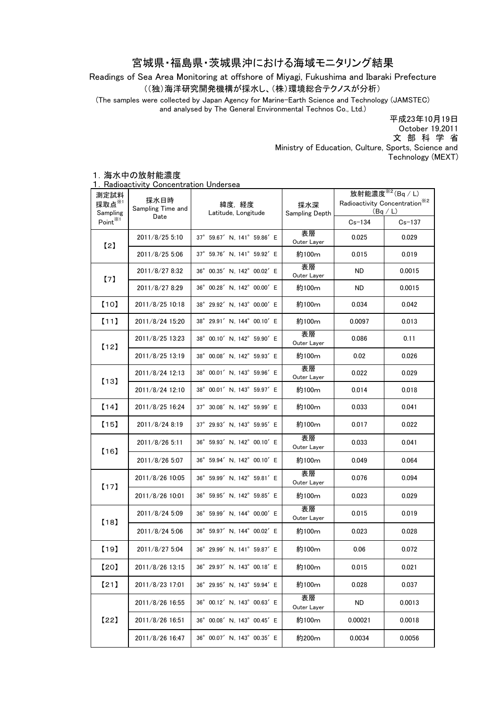## 宮城県・福島県・茨城県沖における海域モニタリング結果

Readings of Sea Area Monitoring at offshore of Miyagi, Fukushima and Ibaraki Prefecture ((独)海洋研究開発機構が採水し、(株)環境総合テクノスが分析)

(The samples were collected by Japan Agency for Marine-Earth Science and Technology (JAMSTEC) and analysed by The General Environmental Technos Co., Ltd.)

> Ministry of Education, Culture, Sports, Science and Technology (MEXT) 平成23年10月19日 文 部 科 学 省 October 19,2011

## 1.海水中の放射能濃度

1.Radioactivity Concentration Undersea

| 測定試料<br>採取点 $^{\times 1}$<br>Sampling<br>Point $*1$ | 採水日時<br>Sampling Time and<br>Date | 緯度,経度<br>Latitude, Longitude | 採水深<br>Sampling Depth | 放射能濃度 $*^2$ (Bq / L)                                 |            |
|-----------------------------------------------------|-----------------------------------|------------------------------|-----------------------|------------------------------------------------------|------------|
|                                                     |                                   |                              |                       | Radioactivity Concentration <sup>362</sup><br>(Bq/L) |            |
|                                                     |                                   |                              |                       | $Cs - 134$                                           | $Cs - 137$ |
| [2]                                                 | 2011/8/25 5:10                    | 37° 59.67' N, 141° 59.86' E  | 表層<br>Outer Layer     | 0.025                                                | 0.029      |
|                                                     | 2011/8/25 5:06                    | 37° 59.76' N, 141° 59.92' E  | 約100m                 | 0.015                                                | 0.019      |
| [7]                                                 | 2011/8/27 8:32                    | 36° 00.35' N, 142° 00.02' E  | 表層<br>Outer Layer     | ND.                                                  | 0.0015     |
|                                                     | 2011/8/27 8:29                    | 36° 00.28' N, 142° 00.00' E  | 約100m                 | <b>ND</b>                                            | 0.0015     |
| [10]                                                | 2011/8/25 10:18                   | 38° 29.92' N, 143° 00.00' E  | 約100m                 | 0.034                                                | 0.042      |
| [11]                                                | 2011/8/24 15:20                   | 38° 29.91' N, 144° 00.10' E  | 約100m                 | 0.0097                                               | 0.013      |
| [12]                                                | 2011/8/25 13:23                   | 38° 00.10' N, 142° 59.90' E  | 表層<br>Outer Layer     | 0.086                                                | 0.11       |
|                                                     | 2011/8/25 13:19                   | 38° 00.08' N. 142° 59.93' E  | 約100m                 | 0.02                                                 | 0.026      |
| [13]                                                | 2011/8/24 12:13                   | 38° 00.01' N, 143° 59.96' E  | 表層<br>Outer Layer     | 0.022                                                | 0.029      |
|                                                     | 2011/8/24 12:10                   | 38° 00.01' N, 143° 59.97' E  | 約100m                 | 0.014                                                | 0.018      |
| [14]                                                | 2011/8/25 16:24                   | 37° 30.08' N, 142° 59.99' E  | 約100m                 | 0.033                                                | 0.041      |
| [15]                                                | 2011/8/24 8:19                    | 37° 29.93' N. 143° 59.95' E  | 約100m                 | 0.017                                                | 0.022      |
| [16]                                                | 2011/8/26 5:11                    | 36° 59.93' N, 142° 00.10' E  | 表層<br>Outer Layer     | 0.033                                                | 0.041      |
|                                                     | 2011/8/26 5:07                    | 36° 59.94' N, 142° 00.10' E  | 約100m                 | 0.049                                                | 0.064      |
| [17]                                                | 2011/8/26 10:05                   | 36° 59.99' N, 142° 59.81' E  | 表層<br>Outer Layer     | 0.076                                                | 0.094      |
|                                                     | 2011/8/26 10:01                   | 36° 59.95' N, 142° 59.85' E  | 約100m                 | 0.023                                                | 0.029      |
| [18]                                                | 2011/8/24 5:09                    | 36° 59.99' N, 144° 00.00' E  | 表層<br>Outer Layer     | 0.015                                                | 0.019      |
|                                                     | 2011/8/24 5:06                    | 36° 59.97' N, 144° 00.02' E  | 約100m                 | 0.023                                                | 0.028      |
| [19]                                                | 2011/8/27 5:04                    | 36° 29.99' N, 141° 59.87' E  | 約100m                 | 0.06                                                 | 0.072      |
| 【20】                                                | 2011/8/26 13:15                   | 36° 29.97' N, 143° 00.18' E  | 約100m                 | 0.015                                                | 0.021      |
| [21]                                                | 2011/8/23 17:01                   | 36° 29.95' N, 143° 59.94' E  | 約100m                 | 0.028                                                | 0.037      |
| [22]                                                | 2011/8/26 16:55                   | 36° 00.12' N, 143° 00.63' E  | 表層<br>Outer Layer     | <b>ND</b>                                            | 0.0013     |
|                                                     | 2011/8/26 16:51                   | 36° 00.08' N, 143° 00.45' E  | 約100m                 | 0.00021                                              | 0.0018     |
|                                                     | 2011/8/26 16:47                   | 36° 00.07' N, 143° 00.35' E  | 約200m                 | 0.0034                                               | 0.0056     |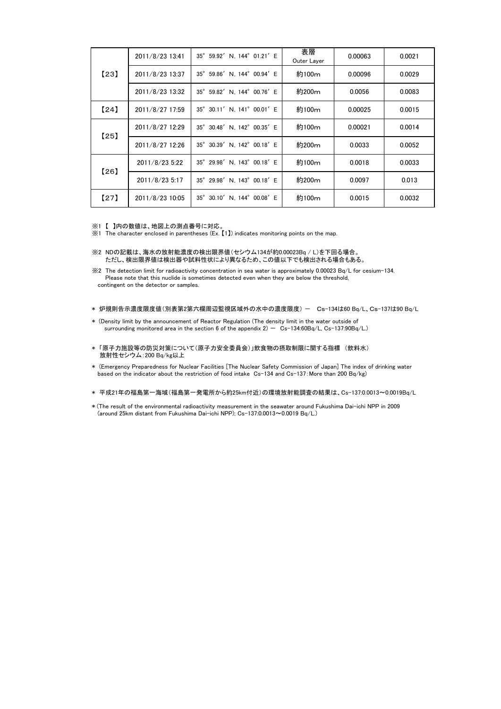| [23] | 2011/8/23 13:41 | 35° 59.92' N, 144° 01.21' E | 表層<br>Outer Layer | 0.00063 | 0.0021 |
|------|-----------------|-----------------------------|-------------------|---------|--------|
|      | 2011/8/23 13:37 | 35° 59.86' N. 144° 00.94' E | 約100m             | 0.00096 | 0.0029 |
|      | 2011/8/23 13:32 | 35° 59.82' N. 144° 00.76' E | 約200m             | 0.0056  | 0.0083 |
| [24] | 2011/8/27 17:59 | 35° 30.11' N, 141° 00.01' E | 約100m             | 0.00025 | 0.0015 |
| [25] | 2011/8/27 12:29 | 35° 30.48' N. 142° 00.35' E | 約100m             | 0.00021 | 0.0014 |
|      | 2011/8/27 12:26 | 35° 30.39' N. 142° 00.18' E | 約200m             | 0.0033  | 0.0052 |
| 【26】 | 2011/8/23 5:22  | 35° 29.98' N. 143° 00.18' E | 約100m             | 0.0018  | 0.0033 |
|      | 2011/8/23 5:17  | 35° 29.98' N. 143° 00.18' E | 約200m             | 0.0097  | 0.013  |
| [27] | 2011/8/23 10:05 | 35° 30.10' N. 144° 00.08' E | 約100m             | 0.0015  | 0.0032 |

※1 【 】内の数値は、地図上の測点番号に対応。

※1 The character enclosed in parentheses (Ex. 【1】) indicates monitoring points on the map.

- \* 炉規則告示濃度限度値(別表第2第六欄周辺監視区域外の水中の濃度限度) Cs-134は60 Bq/L、Cs-137は90 Bq/L
- \* (Density limit by the announcement of Reactor Regulation (The density limit in the water outside of surrounding monitored area in the section 6 of the appendix  $2$ ) - Cs-134:60Bq/L, Cs-137:90Bq/L.)
- \* 「原子力施設等の防災対策について(原子力安全委員会)」飲食物の摂取制限に関する指標 (飲料水) 放射性セシウム:200 Bq/kg以上
- \* (Emergency Preparedness for Nuclear Facilities [The Nuclear Safety Commission of Japan] The index of drinking water based on the indicator about the restriction of food intake Cs-134 and Cs-137:More than 200 Bq/kg)
- \* 平成21年の福島第一海域(福島第一発電所から約25km付近)の環境放射能調査の結果は、Cs-137:0.0013~0.0019Bq/L
- \* (The result of the environmental radioactivity measurement in the seawater around Fukushima Dai-ichi NPP in 2009 (around 25km distant from Fukushima Dai-ichi NPP); Cs-137:0.0013~0.0019 Bq/L.)

<sup>※2</sup> NDの記載は、海水の放射能濃度の検出限界値(セシウム134が約0.00023Bq / L)を下回る場合。 ただし、検出限界値は検出器や試料性状により異なるため、この値以下でも検出される場合もある。

<sup>※2</sup> The detection limit for radioactivity concentration in sea water is approximately 0.00023 Bq/L for cesium-134. Please note that this nuclide is sometimes detected even when they are below the threshold, contingent on the detector or samples.